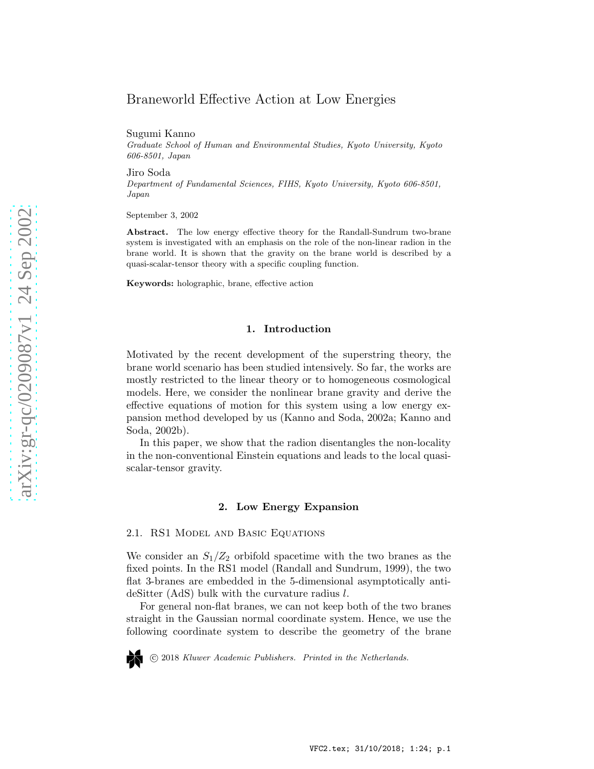# Braneworld Effective Action at Low Energies

Sugumi Kanno

Graduate School of Human and Environmental Studies, Kyoto University, Kyoto 606-8501, Japan

Jiro Soda Department of Fundamental Sciences, FIHS, Kyoto University, Kyoto 606-8501, Japan

September 3, 2002

Abstract. The low energy effective theory for the Randall-Sundrum two-brane system is investigated with an emphasis on the role of the non-linear radion in the brane world. It is shown that the gravity on the brane world is described by a quasi-scalar-tensor theory with a specific coupling function.

Keywords: holographic, brane, effective action

#### 1. Introduction

Motivated by the recent development of the superstring theory, the brane world scenario has been studied intensively. So far, the works are mostly restricted to the linear theory or to homogeneous cosmological models. Here, we consider the nonlinear brane gravity and derive the effective equations of motion for this system using a low energy expansion method developed by us (Kanno and Soda, 2002a; Kanno and Soda, 2002b).

In this paper, we show that the radion disentangles the non-locality in the non-conventional Einstein equations and leads to the local quasiscalar-tensor gravity.

# 2. Low Energy Expansion

2.1. RS1 Model and Basic Equations

We consider an  $S_1/Z_2$  orbifold spacetime with the two branes as the fixed points. In the RS1 model (Randall and Sundrum, 1999), the two flat 3-branes are embedded in the 5-dimensional asymptotically antideSitter (AdS) bulk with the curvature radius l.

For general non-flat branes, we can not keep both of the two branes straight in the Gaussian normal coordinate system. Hence, we use the following coordinate system to describe the geometry of the brane



c 2018 Kluwer Academic Publishers. Printed in the Netherlands.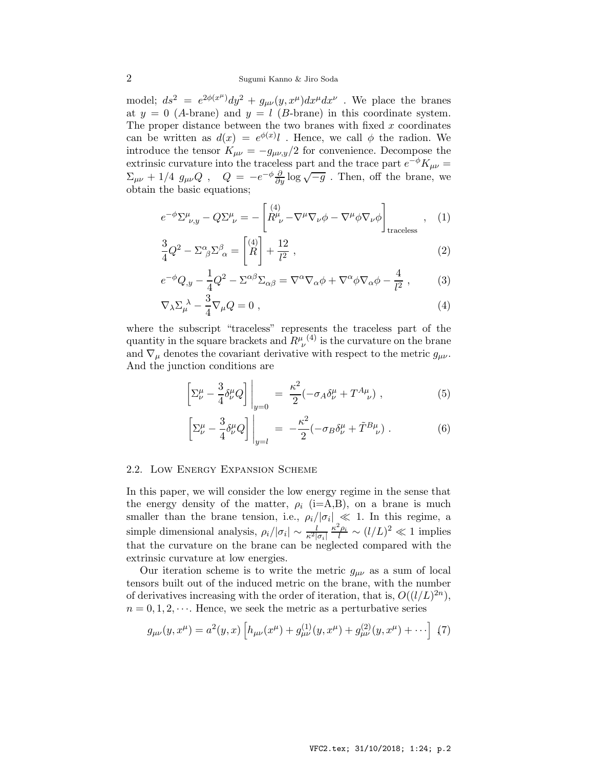model;  $ds^2 = e^{2\phi(x^{\mu})}dy^2 + g_{\mu\nu}(y, x^{\mu})dx^{\mu}dx^{\nu}$ . We place the branes at  $y = 0$  (A-brane) and  $y = l$  (B-brane) in this coordinate system. The proper distance between the two branes with fixed  $x$  coordinates can be written as  $d(x) = e^{\phi(x)}l$ . Hence, we call  $\phi$  the radion. We introduce the tensor  $K_{\mu\nu} = -g_{\mu\nu,y}/2$  for convenience. Decompose the extrinsic curvature into the traceless part and the trace part  $e^{-\phi}K_{\mu\nu}$  =  $\Sigma_{\mu\nu}$  + 1/4  $g_{\mu\nu}Q$ ,  $Q = -e^{-\phi}\frac{\partial}{\partial y}\log\sqrt{-g}$ . Then, off the brane, we obtain the basic equations;

$$
e^{-\phi} \Sigma^{\mu}_{\nu,y} - Q \Sigma^{\mu}_{\nu} = -\left[ \begin{matrix} (4) \\ R^{\mu}_{\ \nu} - \nabla^{\mu} \nabla_{\nu} \phi - \nabla^{\mu} \phi \nabla_{\nu} \phi \end{matrix} \right]_{\text{traceless}}, \quad (1)
$$

$$
\frac{3}{4}Q^2 - \Sigma^{\alpha}_{\ \beta} \Sigma^{\beta}_{\ \alpha} = \begin{bmatrix} 4 \\ R \end{bmatrix} + \frac{12}{l^2} \,, \tag{2}
$$

$$
e^{-\phi}Q_{,y} - \frac{1}{4}Q^2 - \Sigma^{\alpha\beta}\Sigma_{\alpha\beta} = \nabla^{\alpha}\nabla_{\alpha}\phi + \nabla^{\alpha}\phi\nabla_{\alpha}\phi - \frac{4}{l^2},\tag{3}
$$

$$
\nabla_{\lambda} \Sigma_{\mu}^{\ \lambda} - \frac{3}{4} \nabla_{\mu} Q = 0 , \qquad (4)
$$

where the subscript "traceless" represents the traceless part of the quantity in the square brackets and  $R^{\mu}_{\ \nu}{}^{(4)}$  is the curvature on the brane and  $\nabla_{\mu}$  denotes the covariant derivative with respect to the metric  $g_{\mu\nu}$ . And the junction conditions are

$$
\left[\Sigma^{\mu}_{\nu} - \frac{3}{4} \delta^{\mu}_{\nu} Q\right]\bigg|_{y=0} = \frac{\kappa^2}{2} (-\sigma_A \delta^{\mu}_{\nu} + T^{A\mu}_{\nu}), \qquad (5)
$$

$$
\left[\Sigma^{\mu}_{\nu} - \frac{3}{4}\delta^{\mu}_{\nu}Q\right]\bigg|_{y=l} = -\frac{\kappa^2}{2}(-\sigma_B\delta^{\mu}_{\nu} + \tilde{T}^{B\mu}_{\nu}).\tag{6}
$$

#### 2.2. Low Energy Expansion Scheme

In this paper, we will consider the low energy regime in the sense that the energy density of the matter,  $\rho_i$  (i=A,B), on a brane is much smaller than the brane tension, i.e.,  $\rho_i/|\sigma_i| \ll 1$ . In this regime, a simple dimensional analysis,  $\rho_i/|\sigma_i| \sim \frac{l}{\kappa^2 |\sigma_i|} \frac{\kappa^2 \rho_i}{l} \sim (l/L)^2 \ll 1$  implies that the curvature on the brane can be neglected compared with the extrinsic curvature at low energies.

Our iteration scheme is to write the metric  $g_{\mu\nu}$  as a sum of local tensors built out of the induced metric on the brane, with the number of derivatives increasing with the order of iteration, that is,  $O((l/L)^{2n})$ ,  $n = 0, 1, 2, \dots$ . Hence, we seek the metric as a perturbative series

$$
g_{\mu\nu}(y, x^{\mu}) = a^2(y, x) \left[ h_{\mu\nu}(x^{\mu}) + g_{\mu\nu}^{(1)}(y, x^{\mu}) + g_{\mu\nu}^{(2)}(y, x^{\mu}) + \cdots \right] (7)
$$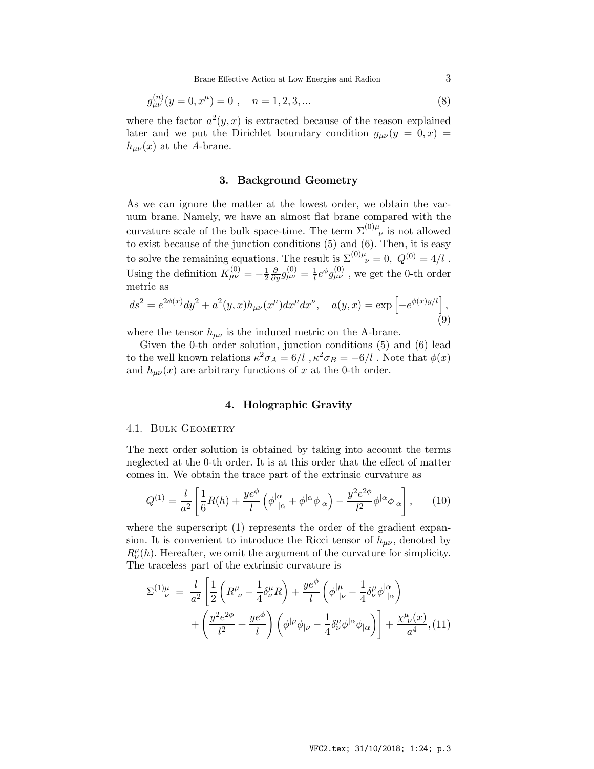$$
g_{\mu\nu}^{(n)}(y=0, x^{\mu}) = 0 , \quad n = 1, 2, 3, ... \tag{8}
$$

where the factor  $a^2(y, x)$  is extracted because of the reason explained later and we put the Dirichlet boundary condition  $g_{\mu\nu}(y = 0, x) =$  $h_{\mu\nu}(x)$  at the A-brane.

# 3. Background Geometry

As we can ignore the matter at the lowest order, we obtain the vacuum brane. Namely, we have an almost flat brane compared with the curvature scale of the bulk space-time. The term  $\Sigma^{(0)\mu}_{\nu}$  is not allowed to exist because of the junction conditions (5) and (6). Then, it is easy to solve the remaining equations. The result is  $\Sigma^{(0)\mu}{}_{\nu} = 0, Q^{(0)} = 4/l$ . Using the definition  $K_{\mu\nu}^{(0)} = -\frac{1}{2}$  $\frac{\partial}{\partial y}g^{(0)}_{\mu\nu} = \frac{1}{l}e^{\phi}g^{(0)}_{\mu\nu}$  , we get the 0-th order metric as

$$
ds^{2} = e^{2\phi(x)}dy^{2} + a^{2}(y,x)h_{\mu\nu}(x^{\mu})dx^{\mu}dx^{\nu}, \quad a(y,x) = \exp\left[-e^{\phi(x)y/l}\right],
$$
\n(9)

where the tensor  $h_{\mu\nu}$  is the induced metric on the A-brane.

Given the 0-th order solution, junction conditions (5) and (6) lead to the well known relations  $\kappa^2 \sigma_A = 6/l$ ,  $\kappa^2 \sigma_B = -6/l$ . Note that  $\phi(x)$ and  $h_{\mu\nu}(x)$  are arbitrary functions of x at the 0-th order.

# 4. Holographic Gravity

### 4.1. BULK GEOMETRY

The next order solution is obtained by taking into account the terms neglected at the 0-th order. It is at this order that the effect of matter comes in. We obtain the trace part of the extrinsic curvature as

$$
Q^{(1)} = \frac{l}{a^2} \left[ \frac{1}{6} R(h) + \frac{ye^{\phi}}{l} \left( \phi^{\mid \alpha}_{\mid \alpha} + \phi^{\mid \alpha} \phi^{\mid \alpha} \right) - \frac{y^2 e^{2\phi}}{l^2} \phi^{\mid \alpha} \phi^{\mid \alpha} \right], \qquad (10)
$$

where the superscript  $(1)$  represents the order of the gradient expansion. It is convenient to introduce the Ricci tensor of  $h_{\mu\nu}$ , denoted by  $R^{\mu}_{\nu}(h)$ . Hereafter, we omit the argument of the curvature for simplicity. The traceless part of the extrinsic curvature is

$$
\Sigma^{(1)\mu}_{\nu} = \frac{l}{a^2} \left[ \frac{1}{2} \left( R^{\mu}_{\ \nu} - \frac{1}{4} \delta^{\mu}_{\nu} R \right) + \frac{y e^{\phi}}{l} \left( \phi^{\mid \mu \mid}_{\mid \nu} - \frac{1}{4} \delta^{\mu}_{\nu} \phi^{\mid \alpha}_{\mid \alpha} \right) + \left( \frac{y^2 e^{2\phi}}{l^2} + \frac{y e^{\phi}}{l} \right) \left( \phi^{\mid \mu} \phi^{\mid \mu} - \frac{1}{4} \delta^{\mu}_{\nu} \phi^{\mid \alpha} \phi^{\mid \alpha} \right) \right] + \frac{\chi^{\mu}_{\ \nu}(x)}{a^4}, \quad (11)
$$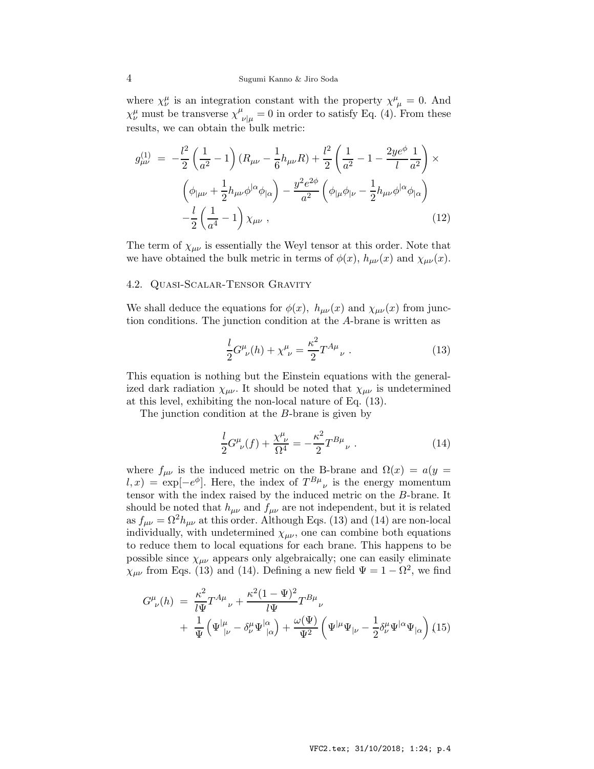where  $\chi^{\mu}_{\nu}$  is an integration constant with the property  $\chi^{\mu}_{\mu} = 0$ . And  $\chi^{\mu}_{\nu}$  must be transverse  $\chi^{\mu}_{\nu|\mu} = 0$  in order to satisfy Eq. (4). From these results, we can obtain the bulk metric:

$$
g_{\mu\nu}^{(1)} = -\frac{l^2}{2} \left( \frac{1}{a^2} - 1 \right) (R_{\mu\nu} - \frac{1}{6} h_{\mu\nu} R) + \frac{l^2}{2} \left( \frac{1}{a^2} - 1 - \frac{2ye^{\phi}}{l} \frac{1}{a^2} \right) \times
$$

$$
\left( \phi_{|\mu\nu} + \frac{1}{2} h_{\mu\nu} \phi^{|\alpha} \phi_{|\alpha} \right) - \frac{y^2 e^{2\phi}}{a^2} \left( \phi_{|\mu} \phi_{|\nu} - \frac{1}{2} h_{\mu\nu} \phi^{|\alpha} \phi_{|\alpha} \right)
$$

$$
-\frac{l}{2} \left( \frac{1}{a^4} - 1 \right) \chi_{\mu\nu} , \qquad (12)
$$

The term of  $\chi_{\mu\nu}$  is essentially the Weyl tensor at this order. Note that we have obtained the bulk metric in terms of  $\phi(x)$ ,  $h_{\mu\nu}(x)$  and  $\chi_{\mu\nu}(x)$ .

#### 4.2. Quasi-Scalar-Tensor Gravity

We shall deduce the equations for  $\phi(x)$ ,  $h_{\mu\nu}(x)$  and  $\chi_{\mu\nu}(x)$  from junction conditions. The junction condition at the A-brane is written as

$$
\frac{l}{2}G^{\mu}_{\ \nu}(h) + \chi^{\mu}_{\ \nu} = \frac{\kappa^2}{2}T^{A\mu}_{\ \nu} \ . \tag{13}
$$

This equation is nothing but the Einstein equations with the generalized dark radiation  $\chi_{\mu\nu}$ . It should be noted that  $\chi_{\mu\nu}$  is undetermined at this level, exhibiting the non-local nature of Eq. (13).

The junction condition at the B-brane is given by

$$
\frac{l}{2}G^{\mu}_{\ \nu}(f) + \frac{\chi^{\mu}_{\ \nu}}{\Omega^4} = -\frac{\kappa^2}{2}T^{B\mu}_{\ \nu} \ . \tag{14}
$$

where  $f_{\mu\nu}$  is the induced metric on the B-brane and  $\Omega(x) = a(y =$  $l, x$  = exp $[-e^{\phi}]$ . Here, the index of  $T^{B\mu}{}_{\nu}$  is the energy momentum tensor with the index raised by the induced metric on the B-brane. It should be noted that  $h_{\mu\nu}$  and  $f_{\mu\nu}$  are not independent, but it is related as  $f_{\mu\nu} = \Omega^2 h_{\mu\nu}$  at this order. Although Eqs. (13) and (14) are non-local individually, with undetermined  $\chi_{\mu\nu}$ , one can combine both equations to reduce them to local equations for each brane. This happens to be possible since  $\chi_{\mu\nu}$  appears only algebraically; one can easily eliminate  $\chi_{\mu\nu}$  from Eqs. (13) and (14). Defining a new field  $\Psi = 1 - \Omega^2$ , we find

$$
G^{\mu}_{\ \nu}(h) = \frac{\kappa^2}{l\Psi} T^{A\mu}_{\ \nu} + \frac{\kappa^2 (1 - \Psi)^2}{l\Psi} T^{B\mu}_{\ \nu} + \frac{1}{\Psi} \left( \Psi^{|\mu}_{|\nu} - \delta^{\mu}_{\nu} \Psi^{|\alpha}_{|\alpha} \right) + \frac{\omega(\Psi)}{\Psi^2} \left( \Psi^{|\mu} \Psi_{|\nu} - \frac{1}{2} \delta^{\mu}_{\nu} \Psi^{|\alpha} \Psi_{|\alpha} \right) (15)
$$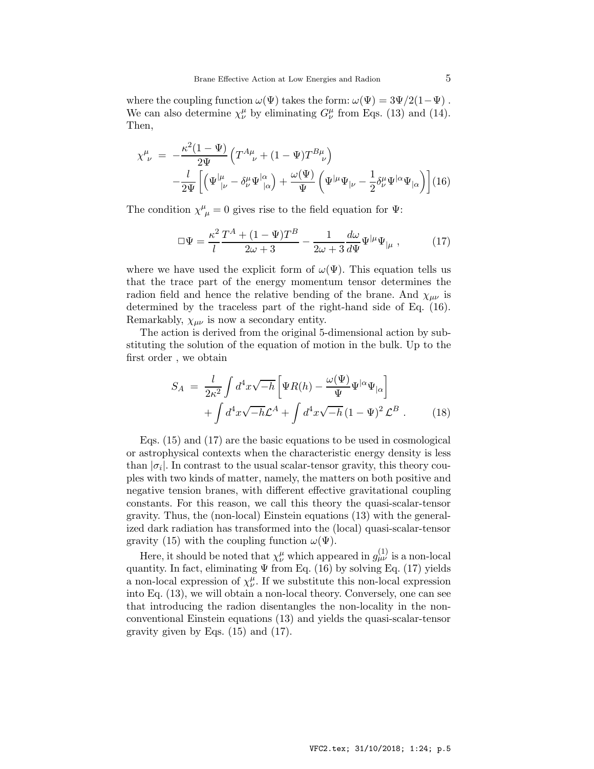where the coupling function  $\omega(\Psi)$  takes the form:  $\omega(\Psi) = 3\Psi/2(1-\Psi)$ . We can also determine  $\chi^{\mu}_{\nu}$  by eliminating  $G^{\mu}_{\nu}$  from Eqs. (13) and (14). Then,

$$
\chi^{\mu}_{\ \nu} = -\frac{\kappa^2 (1 - \Psi)}{2\Psi} \left( T^{A\mu}_{\ \nu} + (1 - \Psi) T^{B\mu}_{\ \nu} \right) -\frac{l}{2\Psi} \left[ \left( \Psi^{|\mu}_{|\nu} - \delta^{\mu}_{\nu} \Psi^{|\alpha}_{|\alpha} \right) + \frac{\omega(\Psi)}{\Psi} \left( \Psi^{|\mu} \Psi_{|\nu} - \frac{1}{2} \delta^{\mu}_{\nu} \Psi^{|\alpha} \Psi_{|\alpha} \right) \right] (16)
$$

The condition  $\chi^{\mu}_{\mu} = 0$  gives rise to the field equation for  $\Psi$ :

$$
\Box \Psi = \frac{\kappa^2}{l} \frac{T^A + (1 - \Psi) T^B}{2\omega + 3} - \frac{1}{2\omega + 3} \frac{d\omega}{d\Psi} \Psi^{|\mu} \Psi_{|\mu} , \qquad (17)
$$

where we have used the explicit form of  $\omega(\Psi)$ . This equation tells us that the trace part of the energy momentum tensor determines the radion field and hence the relative bending of the brane. And  $\chi_{\mu\nu}$  is determined by the traceless part of the right-hand side of Eq. (16). Remarkably,  $\chi_{\mu\nu}$  is now a secondary entity.

The action is derived from the original 5-dimensional action by substituting the solution of the equation of motion in the bulk. Up to the first order , we obtain

$$
S_A = \frac{l}{2\kappa^2} \int d^4x \sqrt{-h} \left[ \Psi R(h) - \frac{\omega(\Psi)}{\Psi} \Psi^{|\alpha} \Psi_{|\alpha} \right] + \int d^4x \sqrt{-h} \mathcal{L}^A + \int d^4x \sqrt{-h} \left( 1 - \Psi \right)^2 \mathcal{L}^B.
$$
 (18)

Eqs. (15) and (17) are the basic equations to be used in cosmological or astrophysical contexts when the characteristic energy density is less than  $|\sigma_i|$ . In contrast to the usual scalar-tensor gravity, this theory couples with two kinds of matter, namely, the matters on both positive and negative tension branes, with different effective gravitational coupling constants. For this reason, we call this theory the quasi-scalar-tensor gravity. Thus, the (non-local) Einstein equations (13) with the generalized dark radiation has transformed into the (local) quasi-scalar-tensor gravity (15) with the coupling function  $\omega(\Psi)$ .

Here, it should be noted that  $\chi^{\mu}_{\nu}$  which appeared in  $g^{(1)}_{\mu\nu}$  is a non-local quantity. In fact, eliminating  $\Psi$  from Eq. (16) by solving Eq. (17) yields a non-local expression of  $\chi^{\mu}_{\nu}$ . If we substitute this non-local expression into Eq. (13), we will obtain a non-local theory. Conversely, one can see that introducing the radion disentangles the non-locality in the nonconventional Einstein equations (13) and yields the quasi-scalar-tensor gravity given by Eqs. (15) and (17).